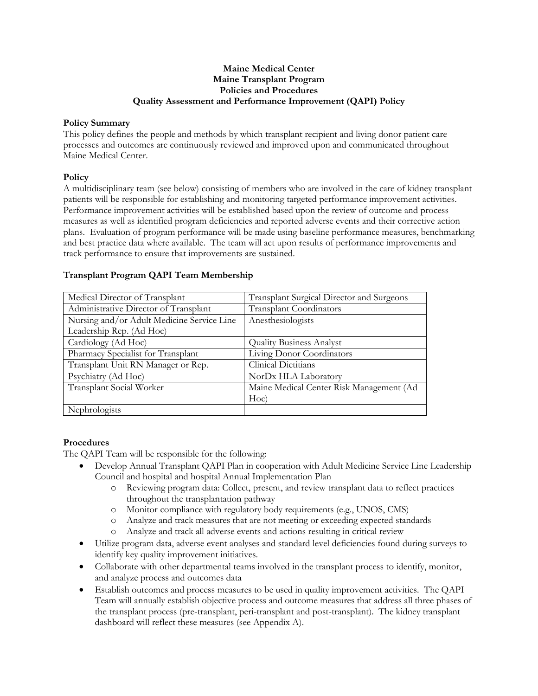#### **Maine Medical Center Maine Transplant Program Policies and Procedures Quality Assessment and Performance Improvement (QAPI) Policy**

## **Policy Summary**

This policy defines the people and methods by which transplant recipient and living donor patient care processes and outcomes are continuously reviewed and improved upon and communicated throughout Maine Medical Center.

## **Policy**

A multidisciplinary team (see below) consisting of members who are involved in the care of kidney transplant patients will be responsible for establishing and monitoring targeted performance improvement activities. Performance improvement activities will be established based upon the review of outcome and process measures as well as identified program deficiencies and reported adverse events and their corrective action plans. Evaluation of program performance will be made using baseline performance measures, benchmarking and best practice data where available. The team will act upon results of performance improvements and track performance to ensure that improvements are sustained.

| Medical Director of Transplant             | Transplant Surgical Director and Surgeons |
|--------------------------------------------|-------------------------------------------|
| Administrative Director of Transplant      | <b>Transplant Coordinators</b>            |
| Nursing and/or Adult Medicine Service Line | Anesthesiologists                         |
| Leadership Rep. (Ad Hoc)                   |                                           |
| Cardiology (Ad Hoc)                        | <b>Quality Business Analyst</b>           |
| Pharmacy Specialist for Transplant         | Living Donor Coordinators                 |
| Transplant Unit RN Manager or Rep.         | Clinical Dietitians                       |
| Psychiatry (Ad Hoc)                        | NorDx HLA Laboratory                      |
| Transplant Social Worker                   | Maine Medical Center Risk Management (Ad  |
|                                            | $Hoc$ )                                   |
| Nephrologists                              |                                           |

## **Transplant Program QAPI Team Membership**

# **Procedures**

The QAPI Team will be responsible for the following:

- Develop Annual Transplant QAPI Plan in cooperation with Adult Medicine Service Line Leadership Council and hospital and hospital Annual Implementation Plan
	- o Reviewing program data: Collect, present, and review transplant data to reflect practices throughout the transplantation pathway
	- o Monitor compliance with regulatory body requirements (e.g., UNOS, CMS)
	- o Analyze and track measures that are not meeting or exceeding expected standards
	- o Analyze and track all adverse events and actions resulting in critical review
- Utilize program data, adverse event analyses and standard level deficiencies found during surveys to identify key quality improvement initiatives.
- Collaborate with other departmental teams involved in the transplant process to identify, monitor, and analyze process and outcomes data
- Establish outcomes and process measures to be used in quality improvement activities. The QAPI Team will annually establish objective process and outcome measures that address all three phases of the transplant process (pre-transplant, peri-transplant and post-transplant). The kidney transplant dashboard will reflect these measures (see Appendix A).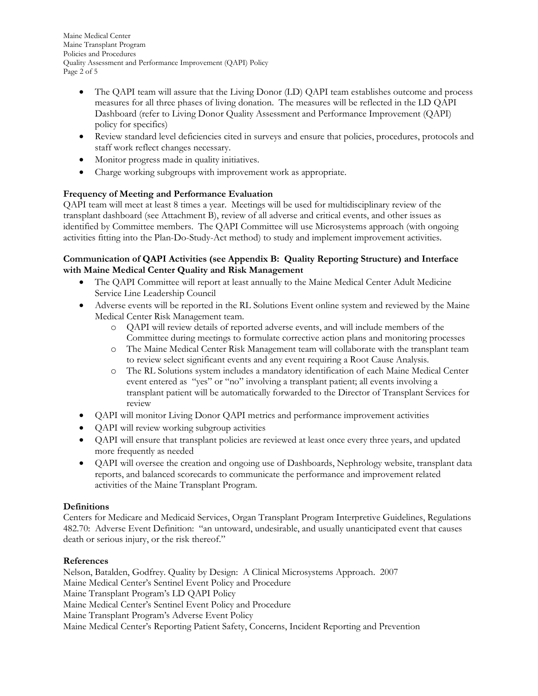- The QAPI team will assure that the Living Donor (LD) QAPI team establishes outcome and process measures for all three phases of living donation. The measures will be reflected in the LD QAPI Dashboard (refer to Living Donor Quality Assessment and Performance Improvement (QAPI) policy for specifics)
- Review standard level deficiencies cited in surveys and ensure that policies, procedures, protocols and staff work reflect changes necessary.
- Monitor progress made in quality initiatives.
- Charge working subgroups with improvement work as appropriate.

### **Frequency of Meeting and Performance Evaluation**

QAPI team will meet at least 8 times a year. Meetings will be used for multidisciplinary review of the transplant dashboard (see Attachment B), review of all adverse and critical events, and other issues as identified by Committee members. The QAPI Committee will use Microsystems approach (with ongoing activities fitting into the Plan-Do-Study-Act method) to study and implement improvement activities.

### **Communication of QAPI Activities (see Appendix B: Quality Reporting Structure) and Interface with Maine Medical Center Quality and Risk Management**

- The QAPI Committee will report at least annually to the Maine Medical Center Adult Medicine Service Line Leadership Council
- Adverse events will be reported in the RL Solutions Event online system and reviewed by the Maine Medical Center Risk Management team.
	- o QAPI will review details of reported adverse events, and will include members of the Committee during meetings to formulate corrective action plans and monitoring processes
	- o The Maine Medical Center Risk Management team will collaborate with the transplant team to review select significant events and any event requiring a Root Cause Analysis.
	- o The RL Solutions system includes a mandatory identification of each Maine Medical Center event entered as "yes" or "no" involving a transplant patient; all events involving a transplant patient will be automatically forwarded to the Director of Transplant Services for review
- QAPI will monitor Living Donor QAPI metrics and performance improvement activities
- QAPI will review working subgroup activities
- QAPI will ensure that transplant policies are reviewed at least once every three years, and updated more frequently as needed
- QAPI will oversee the creation and ongoing use of Dashboards, Nephrology website, transplant data reports, and balanced scorecards to communicate the performance and improvement related activities of the Maine Transplant Program.

### **Definitions**

Centers for Medicare and Medicaid Services, Organ Transplant Program Interpretive Guidelines, Regulations 482.70: Adverse Event Definition: "an untoward, undesirable, and usually unanticipated event that causes death or serious injury, or the risk thereof."

### **References**

Nelson, Batalden, Godfrey. Quality by Design: A Clinical Microsystems Approach. 2007 Maine Medical Center's Sentinel Event Policy and Procedure Maine Transplant Program's LD QAPI Policy Maine Medical Center's Sentinel Event Policy and Procedure Maine Transplant Program's Adverse Event Policy Maine Medical Center's Reporting Patient Safety, Concerns, Incident Reporting and Prevention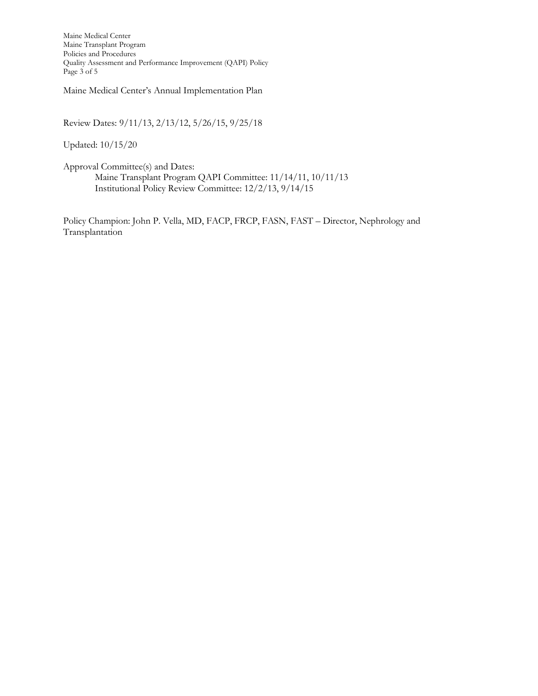Maine Medical Center Maine Transplant Program Policies and Procedures Quality Assessment and Performance Improvement (QAPI) Policy Page 3 of 5

Maine Medical Center's Annual Implementation Plan

Review Dates: 9/11/13, 2/13/12, 5/26/15, 9/25/18

Updated: 10/15/20

Approval Committee(s) and Dates: Maine Transplant Program QAPI Committee: 11/14/11, 10/11/13 Institutional Policy Review Committee: 12/2/13, 9/14/15

Policy Champion: John P. Vella, MD, FACP, FRCP, FASN, FAST – Director, Nephrology and Transplantation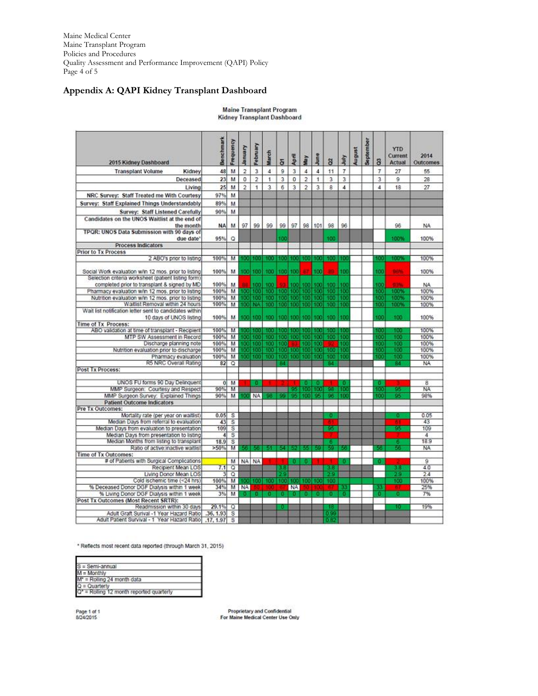Maine Medical Center Maine Transplant Program Policies and Procedures Quality Assessment and Performance Improvement (QAPI) Policy Page 4 of 5

## **Appendix A: QAPI Kidney Transplant Dashboard**

Maine Transplant Program<br>Kidney Transplant Dashboard

| $\overline{2}$<br>3<br>$\overline{\mathbf{3}}$<br>$\overline{4}$<br>M<br>4<br>9<br>4<br>$\overline{t}$<br>$\overline{t}$<br><b>Transplant Volume</b><br>48<br>11<br>27<br>55<br>Kidney<br>23<br>$\overline{0}$<br>$\overline{2}$<br>$\mathbf{0}$<br>$\overline{2}$<br>M<br>3<br>$\mathbf{1}$<br>3<br>3<br>Deceased<br>1<br>3<br>9<br>28<br>25<br>4<br>M<br>$\overline{2}$<br>$\mathbf{1}$<br>$\overline{\mathbf{3}}$<br>6<br>$\overline{3}$<br>$\overline{2}$<br>$\overline{3}$<br>g<br>$\overline{4}$<br>18<br>27<br>Livina<br>97%<br>M<br>NRC Survey: Staff Treated me With Courtesy<br>Survey: Staff Explained Things Understandably<br>89%<br>M<br>90%<br>M<br>Survey: Staff Listened Carefully<br>Candidates on the UNOS Waitlist at the end of<br><b>NA</b><br>M<br>97<br>99<br>99<br>99<br>97<br>98<br>101<br>98<br>96<br>96<br><b>NA</b><br>the month<br>TPOR: UNOS Data Submission with 90 days of<br>95%<br>O<br>100<br>100%<br>100%<br>due date'<br>100<br><b>Process Indicators</b><br><b>Prior to Tx Process</b><br>2 ABO's prior to listing<br>100%<br>100%<br>м<br>100<br>100 100 100<br>100%<br>1031103<br>1001<br>100<br>UP.<br>Social Work evaluation w/in 12 mos. prior to listing<br>100%<br>M.<br>100 100<br>100<br>100<br>100<br>100<br>na.<br>100<br>100<br>5654<br>100%<br>Selection criteria worksheet (patient listing form)<br>100%<br><b>DRM</b><br>completed prior to transplant & signed by MD<br>M<br>100<br>100<br>100 100<br>100<br>NA.<br>92<br>100<br>100<br>100<br>TOOR<br>100%<br>M<br>100<br>100<br>100%<br>Pharmacy evaluation w/in 12 mos. prior to listing<br>ΤŒΙ<br>100<br>100 100<br>100<br>100<br>100<br>16<br>Nutrition evaluation w/in 12 mos. prior to listing<br>100%<br>100<br>100 100 100<br>100%<br>м<br>100 100<br>ТO<br>100<br>ŦО<br>100<br>100%<br>100%<br>Waitlist Removal within 24 hours<br>100<br>100 100 100<br>100<br>100<br>100%<br>M.<br>100 NA<br>100<br>100<br>100%<br>Wait list notification letter sent to candidates within<br>100 100 100<br>100<br>100<br>100<br>10 days of UNOS listing<br>100%<br>M<br>100 100<br>100<br>100<br>100<br>100%<br>Time of Tx Process:<br>100%<br>ABO validation at time of transplant - Recipient<br>100%<br>100<br>100<br>$\overline{11}$<br>M<br>700<br>500<br>ЮD<br>ШI<br>ת הדרכה<br>œ<br>100%<br>MTP SW Assessment in Record<br>100%<br>м<br>100<br>100 <sub>1</sub><br>100<br>103<br>103<br>100<br>100<br>100<br>100<br>100<br>10<br>103<br>100%<br>Discharge planning note<br>100%<br>м<br>100<br>100<br>100<br>m<br>100<br>100<br>m<br>10<br>100%<br>Nutrition evaluation prior to discharge<br>100%<br>M.<br>103<br>100<br>ne e<br>Τū<br>100<br>100<br>10.<br>100<br>Tπ<br>ŦО<br>100<br>Pharmacy evaluation<br>100%<br>м<br>100<br>100<br>103<br>100<br>100<br>100<br>100<br>100%<br>TOT<br>m<br>100<br>π<br>R5 NRC Overall Rating<br>82<br>Ō<br>NA.<br>84<br>84<br>84<br><b>Post Tx Process:</b><br>UNOS FU forms 90 Day Delinquent<br>$\overline{\mathbf{8}}$<br>$\overline{0}$<br>M<br>D<br>о<br>σ<br>o<br>6<br>MMP Surgeon: Courtesy and Respect<br>90%<br>gg.<br>щf<br>M<br>TDO<br>100<br>īΕ<br>NA.<br>100<br>MMP Surgeon Survey: Explained Things<br>90%<br>35<br>Œ<br>95<br>98%<br>M<br><b>NA</b><br>OF.<br>गा<br>75<br>100<br>m<br><b>Patient Outcome Indicators</b><br>Pre Tx Outcomes:<br>0.05<br>Mortality rate (per year on waitlist)<br>0.05<br>s<br>43<br>Median Days from referral to evaluation<br>43<br>s<br>o,<br>109<br>Median Days from evaluation to presentation<br>109<br>s<br>Median Days from presentation to listing<br>s<br>4<br>4<br>Median Months from listing to transplant<br>189<br>s<br>18.9<br>6<br>a<br>EV.<br>Ratio of active inactive waitlist<br>>50%<br>м<br>w<br>NA<br>LY.<br>54<br>Time of Tx Outcomes:<br># of Patients with Surgical Complications<br>NA NA<br>9<br>M<br>n<br>п<br>п<br>40<br>Recipient Mean LOS<br>7.1<br>ō<br>$\circ$<br>$^{24}$<br>Living Donor Mean LOS<br>3<br>29<br>29<br>x<br>Cold ischemic time (<24 hrs)<br>100%<br>$\overline{M}$<br>100%<br>$-0.01$<br>100<br>100<br>25%<br>% Deceased Donor DGF Dialysis within 1 week<br>34%<br>M<br><b>NA</b><br>NA.<br>33<br>15<br>7%<br>% Living Donor DGF Dialysis within 1 week<br>3%<br>M<br>o<br>0<br>Ð<br>Post Tx Outcomes (Most Recent SRTR):<br>19%<br>Readmission within 30 days<br>29.1%<br>Q<br>s<br>Adult Graft Surival -1 Year Hazard Ratio<br>.36.1.93<br>0.9<br>Adult Patient Survival - 1 Year Hazard Ratio<br>.17, 1.97 | 2015 Kidney Dashboard | Benchmart | Frequency | January | February | March | $\overline{\sigma}$ | April | yay | <b>June</b> | ã | July | August | September | $\ddot{a}$ | <b>YTD</b><br>Current<br>Actual | 2014<br>Outcomes |
|----------------------------------------------------------------------------------------------------------------------------------------------------------------------------------------------------------------------------------------------------------------------------------------------------------------------------------------------------------------------------------------------------------------------------------------------------------------------------------------------------------------------------------------------------------------------------------------------------------------------------------------------------------------------------------------------------------------------------------------------------------------------------------------------------------------------------------------------------------------------------------------------------------------------------------------------------------------------------------------------------------------------------------------------------------------------------------------------------------------------------------------------------------------------------------------------------------------------------------------------------------------------------------------------------------------------------------------------------------------------------------------------------------------------------------------------------------------------------------------------------------------------------------------------------------------------------------------------------------------------------------------------------------------------------------------------------------------------------------------------------------------------------------------------------------------------------------------------------------------------------------------------------------------------------------------------------------------------------------------------------------------------------------------------------------------------------------------------------------------------------------------------------------------------------------------------------------------------------------------------------------------------------------------------------------------------------------------------------------------------------------------------------------------------------------------------------------------------------------------------------------------------------------------------------------------------------------------------------------------------------------------------------------------------------------------------------------------------------------------------------------------------------------------------------------------------------------------------------------------------------------------------------------------------------------------------------------------------------------------------------------------------------------------------------------------------------------------------------------------------------------------------------------------------------------------------------------------------------------------------------------------------------------------------------------------------------------------------------------------------------------------------------------------------------------------------------------------------------------------------------------------------------------------------------------------------------------------------------------------------------------------------------------------------------------------------------------------------------------------------------------------------------------------------------------------------------------------------------------------------------------------------------------------------------------------------------------------------------------------------------------------------------------------------------------------------------------------------------------------------------------------------------------------------------------------------------------------------------------------------------------------------------------------------------------------------------------------------------------------------------------------------------------------------------------------------------------------|-----------------------|-----------|-----------|---------|----------|-------|---------------------|-------|-----|-------------|---|------|--------|-----------|------------|---------------------------------|------------------|
|                                                                                                                                                                                                                                                                                                                                                                                                                                                                                                                                                                                                                                                                                                                                                                                                                                                                                                                                                                                                                                                                                                                                                                                                                                                                                                                                                                                                                                                                                                                                                                                                                                                                                                                                                                                                                                                                                                                                                                                                                                                                                                                                                                                                                                                                                                                                                                                                                                                                                                                                                                                                                                                                                                                                                                                                                                                                                                                                                                                                                                                                                                                                                                                                                                                                                                                                                                                                                                                                                                                                                                                                                                                                                                                                                                                                                                                                                                                                                                                                                                                                                                                                                                                                                                                                                                                                                                                                                                                                |                       |           |           |         |          |       |                     |       |     |             |   |      |        |           |            |                                 |                  |
|                                                                                                                                                                                                                                                                                                                                                                                                                                                                                                                                                                                                                                                                                                                                                                                                                                                                                                                                                                                                                                                                                                                                                                                                                                                                                                                                                                                                                                                                                                                                                                                                                                                                                                                                                                                                                                                                                                                                                                                                                                                                                                                                                                                                                                                                                                                                                                                                                                                                                                                                                                                                                                                                                                                                                                                                                                                                                                                                                                                                                                                                                                                                                                                                                                                                                                                                                                                                                                                                                                                                                                                                                                                                                                                                                                                                                                                                                                                                                                                                                                                                                                                                                                                                                                                                                                                                                                                                                                                                |                       |           |           |         |          |       |                     |       |     |             |   |      |        |           |            |                                 |                  |
|                                                                                                                                                                                                                                                                                                                                                                                                                                                                                                                                                                                                                                                                                                                                                                                                                                                                                                                                                                                                                                                                                                                                                                                                                                                                                                                                                                                                                                                                                                                                                                                                                                                                                                                                                                                                                                                                                                                                                                                                                                                                                                                                                                                                                                                                                                                                                                                                                                                                                                                                                                                                                                                                                                                                                                                                                                                                                                                                                                                                                                                                                                                                                                                                                                                                                                                                                                                                                                                                                                                                                                                                                                                                                                                                                                                                                                                                                                                                                                                                                                                                                                                                                                                                                                                                                                                                                                                                                                                                |                       |           |           |         |          |       |                     |       |     |             |   |      |        |           |            |                                 |                  |
|                                                                                                                                                                                                                                                                                                                                                                                                                                                                                                                                                                                                                                                                                                                                                                                                                                                                                                                                                                                                                                                                                                                                                                                                                                                                                                                                                                                                                                                                                                                                                                                                                                                                                                                                                                                                                                                                                                                                                                                                                                                                                                                                                                                                                                                                                                                                                                                                                                                                                                                                                                                                                                                                                                                                                                                                                                                                                                                                                                                                                                                                                                                                                                                                                                                                                                                                                                                                                                                                                                                                                                                                                                                                                                                                                                                                                                                                                                                                                                                                                                                                                                                                                                                                                                                                                                                                                                                                                                                                |                       |           |           |         |          |       |                     |       |     |             |   |      |        |           |            |                                 |                  |
|                                                                                                                                                                                                                                                                                                                                                                                                                                                                                                                                                                                                                                                                                                                                                                                                                                                                                                                                                                                                                                                                                                                                                                                                                                                                                                                                                                                                                                                                                                                                                                                                                                                                                                                                                                                                                                                                                                                                                                                                                                                                                                                                                                                                                                                                                                                                                                                                                                                                                                                                                                                                                                                                                                                                                                                                                                                                                                                                                                                                                                                                                                                                                                                                                                                                                                                                                                                                                                                                                                                                                                                                                                                                                                                                                                                                                                                                                                                                                                                                                                                                                                                                                                                                                                                                                                                                                                                                                                                                |                       |           |           |         |          |       |                     |       |     |             |   |      |        |           |            |                                 |                  |
|                                                                                                                                                                                                                                                                                                                                                                                                                                                                                                                                                                                                                                                                                                                                                                                                                                                                                                                                                                                                                                                                                                                                                                                                                                                                                                                                                                                                                                                                                                                                                                                                                                                                                                                                                                                                                                                                                                                                                                                                                                                                                                                                                                                                                                                                                                                                                                                                                                                                                                                                                                                                                                                                                                                                                                                                                                                                                                                                                                                                                                                                                                                                                                                                                                                                                                                                                                                                                                                                                                                                                                                                                                                                                                                                                                                                                                                                                                                                                                                                                                                                                                                                                                                                                                                                                                                                                                                                                                                                |                       |           |           |         |          |       |                     |       |     |             |   |      |        |           |            |                                 |                  |
|                                                                                                                                                                                                                                                                                                                                                                                                                                                                                                                                                                                                                                                                                                                                                                                                                                                                                                                                                                                                                                                                                                                                                                                                                                                                                                                                                                                                                                                                                                                                                                                                                                                                                                                                                                                                                                                                                                                                                                                                                                                                                                                                                                                                                                                                                                                                                                                                                                                                                                                                                                                                                                                                                                                                                                                                                                                                                                                                                                                                                                                                                                                                                                                                                                                                                                                                                                                                                                                                                                                                                                                                                                                                                                                                                                                                                                                                                                                                                                                                                                                                                                                                                                                                                                                                                                                                                                                                                                                                |                       |           |           |         |          |       |                     |       |     |             |   |      |        |           |            |                                 |                  |
|                                                                                                                                                                                                                                                                                                                                                                                                                                                                                                                                                                                                                                                                                                                                                                                                                                                                                                                                                                                                                                                                                                                                                                                                                                                                                                                                                                                                                                                                                                                                                                                                                                                                                                                                                                                                                                                                                                                                                                                                                                                                                                                                                                                                                                                                                                                                                                                                                                                                                                                                                                                                                                                                                                                                                                                                                                                                                                                                                                                                                                                                                                                                                                                                                                                                                                                                                                                                                                                                                                                                                                                                                                                                                                                                                                                                                                                                                                                                                                                                                                                                                                                                                                                                                                                                                                                                                                                                                                                                |                       |           |           |         |          |       |                     |       |     |             |   |      |        |           |            |                                 |                  |
|                                                                                                                                                                                                                                                                                                                                                                                                                                                                                                                                                                                                                                                                                                                                                                                                                                                                                                                                                                                                                                                                                                                                                                                                                                                                                                                                                                                                                                                                                                                                                                                                                                                                                                                                                                                                                                                                                                                                                                                                                                                                                                                                                                                                                                                                                                                                                                                                                                                                                                                                                                                                                                                                                                                                                                                                                                                                                                                                                                                                                                                                                                                                                                                                                                                                                                                                                                                                                                                                                                                                                                                                                                                                                                                                                                                                                                                                                                                                                                                                                                                                                                                                                                                                                                                                                                                                                                                                                                                                |                       |           |           |         |          |       |                     |       |     |             |   |      |        |           |            |                                 |                  |
|                                                                                                                                                                                                                                                                                                                                                                                                                                                                                                                                                                                                                                                                                                                                                                                                                                                                                                                                                                                                                                                                                                                                                                                                                                                                                                                                                                                                                                                                                                                                                                                                                                                                                                                                                                                                                                                                                                                                                                                                                                                                                                                                                                                                                                                                                                                                                                                                                                                                                                                                                                                                                                                                                                                                                                                                                                                                                                                                                                                                                                                                                                                                                                                                                                                                                                                                                                                                                                                                                                                                                                                                                                                                                                                                                                                                                                                                                                                                                                                                                                                                                                                                                                                                                                                                                                                                                                                                                                                                |                       |           |           |         |          |       |                     |       |     |             |   |      |        |           |            |                                 |                  |
|                                                                                                                                                                                                                                                                                                                                                                                                                                                                                                                                                                                                                                                                                                                                                                                                                                                                                                                                                                                                                                                                                                                                                                                                                                                                                                                                                                                                                                                                                                                                                                                                                                                                                                                                                                                                                                                                                                                                                                                                                                                                                                                                                                                                                                                                                                                                                                                                                                                                                                                                                                                                                                                                                                                                                                                                                                                                                                                                                                                                                                                                                                                                                                                                                                                                                                                                                                                                                                                                                                                                                                                                                                                                                                                                                                                                                                                                                                                                                                                                                                                                                                                                                                                                                                                                                                                                                                                                                                                                |                       |           |           |         |          |       |                     |       |     |             |   |      |        |           |            |                                 |                  |
|                                                                                                                                                                                                                                                                                                                                                                                                                                                                                                                                                                                                                                                                                                                                                                                                                                                                                                                                                                                                                                                                                                                                                                                                                                                                                                                                                                                                                                                                                                                                                                                                                                                                                                                                                                                                                                                                                                                                                                                                                                                                                                                                                                                                                                                                                                                                                                                                                                                                                                                                                                                                                                                                                                                                                                                                                                                                                                                                                                                                                                                                                                                                                                                                                                                                                                                                                                                                                                                                                                                                                                                                                                                                                                                                                                                                                                                                                                                                                                                                                                                                                                                                                                                                                                                                                                                                                                                                                                                                |                       |           |           |         |          |       |                     |       |     |             |   |      |        |           |            |                                 |                  |
|                                                                                                                                                                                                                                                                                                                                                                                                                                                                                                                                                                                                                                                                                                                                                                                                                                                                                                                                                                                                                                                                                                                                                                                                                                                                                                                                                                                                                                                                                                                                                                                                                                                                                                                                                                                                                                                                                                                                                                                                                                                                                                                                                                                                                                                                                                                                                                                                                                                                                                                                                                                                                                                                                                                                                                                                                                                                                                                                                                                                                                                                                                                                                                                                                                                                                                                                                                                                                                                                                                                                                                                                                                                                                                                                                                                                                                                                                                                                                                                                                                                                                                                                                                                                                                                                                                                                                                                                                                                                |                       |           |           |         |          |       |                     |       |     |             |   |      |        |           |            |                                 |                  |
|                                                                                                                                                                                                                                                                                                                                                                                                                                                                                                                                                                                                                                                                                                                                                                                                                                                                                                                                                                                                                                                                                                                                                                                                                                                                                                                                                                                                                                                                                                                                                                                                                                                                                                                                                                                                                                                                                                                                                                                                                                                                                                                                                                                                                                                                                                                                                                                                                                                                                                                                                                                                                                                                                                                                                                                                                                                                                                                                                                                                                                                                                                                                                                                                                                                                                                                                                                                                                                                                                                                                                                                                                                                                                                                                                                                                                                                                                                                                                                                                                                                                                                                                                                                                                                                                                                                                                                                                                                                                |                       |           |           |         |          |       |                     |       |     |             |   |      |        |           |            |                                 |                  |
|                                                                                                                                                                                                                                                                                                                                                                                                                                                                                                                                                                                                                                                                                                                                                                                                                                                                                                                                                                                                                                                                                                                                                                                                                                                                                                                                                                                                                                                                                                                                                                                                                                                                                                                                                                                                                                                                                                                                                                                                                                                                                                                                                                                                                                                                                                                                                                                                                                                                                                                                                                                                                                                                                                                                                                                                                                                                                                                                                                                                                                                                                                                                                                                                                                                                                                                                                                                                                                                                                                                                                                                                                                                                                                                                                                                                                                                                                                                                                                                                                                                                                                                                                                                                                                                                                                                                                                                                                                                                |                       |           |           |         |          |       |                     |       |     |             |   |      |        |           |            |                                 |                  |
|                                                                                                                                                                                                                                                                                                                                                                                                                                                                                                                                                                                                                                                                                                                                                                                                                                                                                                                                                                                                                                                                                                                                                                                                                                                                                                                                                                                                                                                                                                                                                                                                                                                                                                                                                                                                                                                                                                                                                                                                                                                                                                                                                                                                                                                                                                                                                                                                                                                                                                                                                                                                                                                                                                                                                                                                                                                                                                                                                                                                                                                                                                                                                                                                                                                                                                                                                                                                                                                                                                                                                                                                                                                                                                                                                                                                                                                                                                                                                                                                                                                                                                                                                                                                                                                                                                                                                                                                                                                                |                       |           |           |         |          |       |                     |       |     |             |   |      |        |           |            |                                 |                  |
|                                                                                                                                                                                                                                                                                                                                                                                                                                                                                                                                                                                                                                                                                                                                                                                                                                                                                                                                                                                                                                                                                                                                                                                                                                                                                                                                                                                                                                                                                                                                                                                                                                                                                                                                                                                                                                                                                                                                                                                                                                                                                                                                                                                                                                                                                                                                                                                                                                                                                                                                                                                                                                                                                                                                                                                                                                                                                                                                                                                                                                                                                                                                                                                                                                                                                                                                                                                                                                                                                                                                                                                                                                                                                                                                                                                                                                                                                                                                                                                                                                                                                                                                                                                                                                                                                                                                                                                                                                                                |                       |           |           |         |          |       |                     |       |     |             |   |      |        |           |            |                                 |                  |
|                                                                                                                                                                                                                                                                                                                                                                                                                                                                                                                                                                                                                                                                                                                                                                                                                                                                                                                                                                                                                                                                                                                                                                                                                                                                                                                                                                                                                                                                                                                                                                                                                                                                                                                                                                                                                                                                                                                                                                                                                                                                                                                                                                                                                                                                                                                                                                                                                                                                                                                                                                                                                                                                                                                                                                                                                                                                                                                                                                                                                                                                                                                                                                                                                                                                                                                                                                                                                                                                                                                                                                                                                                                                                                                                                                                                                                                                                                                                                                                                                                                                                                                                                                                                                                                                                                                                                                                                                                                                |                       |           |           |         |          |       |                     |       |     |             |   |      |        |           |            |                                 |                  |
|                                                                                                                                                                                                                                                                                                                                                                                                                                                                                                                                                                                                                                                                                                                                                                                                                                                                                                                                                                                                                                                                                                                                                                                                                                                                                                                                                                                                                                                                                                                                                                                                                                                                                                                                                                                                                                                                                                                                                                                                                                                                                                                                                                                                                                                                                                                                                                                                                                                                                                                                                                                                                                                                                                                                                                                                                                                                                                                                                                                                                                                                                                                                                                                                                                                                                                                                                                                                                                                                                                                                                                                                                                                                                                                                                                                                                                                                                                                                                                                                                                                                                                                                                                                                                                                                                                                                                                                                                                                                |                       |           |           |         |          |       |                     |       |     |             |   |      |        |           |            |                                 |                  |
|                                                                                                                                                                                                                                                                                                                                                                                                                                                                                                                                                                                                                                                                                                                                                                                                                                                                                                                                                                                                                                                                                                                                                                                                                                                                                                                                                                                                                                                                                                                                                                                                                                                                                                                                                                                                                                                                                                                                                                                                                                                                                                                                                                                                                                                                                                                                                                                                                                                                                                                                                                                                                                                                                                                                                                                                                                                                                                                                                                                                                                                                                                                                                                                                                                                                                                                                                                                                                                                                                                                                                                                                                                                                                                                                                                                                                                                                                                                                                                                                                                                                                                                                                                                                                                                                                                                                                                                                                                                                |                       |           |           |         |          |       |                     |       |     |             |   |      |        |           |            |                                 |                  |
|                                                                                                                                                                                                                                                                                                                                                                                                                                                                                                                                                                                                                                                                                                                                                                                                                                                                                                                                                                                                                                                                                                                                                                                                                                                                                                                                                                                                                                                                                                                                                                                                                                                                                                                                                                                                                                                                                                                                                                                                                                                                                                                                                                                                                                                                                                                                                                                                                                                                                                                                                                                                                                                                                                                                                                                                                                                                                                                                                                                                                                                                                                                                                                                                                                                                                                                                                                                                                                                                                                                                                                                                                                                                                                                                                                                                                                                                                                                                                                                                                                                                                                                                                                                                                                                                                                                                                                                                                                                                |                       |           |           |         |          |       |                     |       |     |             |   |      |        |           |            |                                 |                  |
|                                                                                                                                                                                                                                                                                                                                                                                                                                                                                                                                                                                                                                                                                                                                                                                                                                                                                                                                                                                                                                                                                                                                                                                                                                                                                                                                                                                                                                                                                                                                                                                                                                                                                                                                                                                                                                                                                                                                                                                                                                                                                                                                                                                                                                                                                                                                                                                                                                                                                                                                                                                                                                                                                                                                                                                                                                                                                                                                                                                                                                                                                                                                                                                                                                                                                                                                                                                                                                                                                                                                                                                                                                                                                                                                                                                                                                                                                                                                                                                                                                                                                                                                                                                                                                                                                                                                                                                                                                                                |                       |           |           |         |          |       |                     |       |     |             |   |      |        |           |            |                                 |                  |
|                                                                                                                                                                                                                                                                                                                                                                                                                                                                                                                                                                                                                                                                                                                                                                                                                                                                                                                                                                                                                                                                                                                                                                                                                                                                                                                                                                                                                                                                                                                                                                                                                                                                                                                                                                                                                                                                                                                                                                                                                                                                                                                                                                                                                                                                                                                                                                                                                                                                                                                                                                                                                                                                                                                                                                                                                                                                                                                                                                                                                                                                                                                                                                                                                                                                                                                                                                                                                                                                                                                                                                                                                                                                                                                                                                                                                                                                                                                                                                                                                                                                                                                                                                                                                                                                                                                                                                                                                                                                |                       |           |           |         |          |       |                     |       |     |             |   |      |        |           |            |                                 |                  |
|                                                                                                                                                                                                                                                                                                                                                                                                                                                                                                                                                                                                                                                                                                                                                                                                                                                                                                                                                                                                                                                                                                                                                                                                                                                                                                                                                                                                                                                                                                                                                                                                                                                                                                                                                                                                                                                                                                                                                                                                                                                                                                                                                                                                                                                                                                                                                                                                                                                                                                                                                                                                                                                                                                                                                                                                                                                                                                                                                                                                                                                                                                                                                                                                                                                                                                                                                                                                                                                                                                                                                                                                                                                                                                                                                                                                                                                                                                                                                                                                                                                                                                                                                                                                                                                                                                                                                                                                                                                                |                       |           |           |         |          |       |                     |       |     |             |   |      |        |           |            |                                 |                  |
|                                                                                                                                                                                                                                                                                                                                                                                                                                                                                                                                                                                                                                                                                                                                                                                                                                                                                                                                                                                                                                                                                                                                                                                                                                                                                                                                                                                                                                                                                                                                                                                                                                                                                                                                                                                                                                                                                                                                                                                                                                                                                                                                                                                                                                                                                                                                                                                                                                                                                                                                                                                                                                                                                                                                                                                                                                                                                                                                                                                                                                                                                                                                                                                                                                                                                                                                                                                                                                                                                                                                                                                                                                                                                                                                                                                                                                                                                                                                                                                                                                                                                                                                                                                                                                                                                                                                                                                                                                                                |                       |           |           |         |          |       |                     |       |     |             |   |      |        |           |            |                                 |                  |
|                                                                                                                                                                                                                                                                                                                                                                                                                                                                                                                                                                                                                                                                                                                                                                                                                                                                                                                                                                                                                                                                                                                                                                                                                                                                                                                                                                                                                                                                                                                                                                                                                                                                                                                                                                                                                                                                                                                                                                                                                                                                                                                                                                                                                                                                                                                                                                                                                                                                                                                                                                                                                                                                                                                                                                                                                                                                                                                                                                                                                                                                                                                                                                                                                                                                                                                                                                                                                                                                                                                                                                                                                                                                                                                                                                                                                                                                                                                                                                                                                                                                                                                                                                                                                                                                                                                                                                                                                                                                |                       |           |           |         |          |       |                     |       |     |             |   |      |        |           |            |                                 |                  |
|                                                                                                                                                                                                                                                                                                                                                                                                                                                                                                                                                                                                                                                                                                                                                                                                                                                                                                                                                                                                                                                                                                                                                                                                                                                                                                                                                                                                                                                                                                                                                                                                                                                                                                                                                                                                                                                                                                                                                                                                                                                                                                                                                                                                                                                                                                                                                                                                                                                                                                                                                                                                                                                                                                                                                                                                                                                                                                                                                                                                                                                                                                                                                                                                                                                                                                                                                                                                                                                                                                                                                                                                                                                                                                                                                                                                                                                                                                                                                                                                                                                                                                                                                                                                                                                                                                                                                                                                                                                                |                       |           |           |         |          |       |                     |       |     |             |   |      |        |           |            |                                 |                  |
|                                                                                                                                                                                                                                                                                                                                                                                                                                                                                                                                                                                                                                                                                                                                                                                                                                                                                                                                                                                                                                                                                                                                                                                                                                                                                                                                                                                                                                                                                                                                                                                                                                                                                                                                                                                                                                                                                                                                                                                                                                                                                                                                                                                                                                                                                                                                                                                                                                                                                                                                                                                                                                                                                                                                                                                                                                                                                                                                                                                                                                                                                                                                                                                                                                                                                                                                                                                                                                                                                                                                                                                                                                                                                                                                                                                                                                                                                                                                                                                                                                                                                                                                                                                                                                                                                                                                                                                                                                                                |                       |           |           |         |          |       |                     |       |     |             |   |      |        |           |            |                                 |                  |
|                                                                                                                                                                                                                                                                                                                                                                                                                                                                                                                                                                                                                                                                                                                                                                                                                                                                                                                                                                                                                                                                                                                                                                                                                                                                                                                                                                                                                                                                                                                                                                                                                                                                                                                                                                                                                                                                                                                                                                                                                                                                                                                                                                                                                                                                                                                                                                                                                                                                                                                                                                                                                                                                                                                                                                                                                                                                                                                                                                                                                                                                                                                                                                                                                                                                                                                                                                                                                                                                                                                                                                                                                                                                                                                                                                                                                                                                                                                                                                                                                                                                                                                                                                                                                                                                                                                                                                                                                                                                |                       |           |           |         |          |       |                     |       |     |             |   |      |        |           |            |                                 |                  |
|                                                                                                                                                                                                                                                                                                                                                                                                                                                                                                                                                                                                                                                                                                                                                                                                                                                                                                                                                                                                                                                                                                                                                                                                                                                                                                                                                                                                                                                                                                                                                                                                                                                                                                                                                                                                                                                                                                                                                                                                                                                                                                                                                                                                                                                                                                                                                                                                                                                                                                                                                                                                                                                                                                                                                                                                                                                                                                                                                                                                                                                                                                                                                                                                                                                                                                                                                                                                                                                                                                                                                                                                                                                                                                                                                                                                                                                                                                                                                                                                                                                                                                                                                                                                                                                                                                                                                                                                                                                                |                       |           |           |         |          |       |                     |       |     |             |   |      |        |           |            |                                 |                  |
|                                                                                                                                                                                                                                                                                                                                                                                                                                                                                                                                                                                                                                                                                                                                                                                                                                                                                                                                                                                                                                                                                                                                                                                                                                                                                                                                                                                                                                                                                                                                                                                                                                                                                                                                                                                                                                                                                                                                                                                                                                                                                                                                                                                                                                                                                                                                                                                                                                                                                                                                                                                                                                                                                                                                                                                                                                                                                                                                                                                                                                                                                                                                                                                                                                                                                                                                                                                                                                                                                                                                                                                                                                                                                                                                                                                                                                                                                                                                                                                                                                                                                                                                                                                                                                                                                                                                                                                                                                                                |                       |           |           |         |          |       |                     |       |     |             |   |      |        |           |            |                                 |                  |
|                                                                                                                                                                                                                                                                                                                                                                                                                                                                                                                                                                                                                                                                                                                                                                                                                                                                                                                                                                                                                                                                                                                                                                                                                                                                                                                                                                                                                                                                                                                                                                                                                                                                                                                                                                                                                                                                                                                                                                                                                                                                                                                                                                                                                                                                                                                                                                                                                                                                                                                                                                                                                                                                                                                                                                                                                                                                                                                                                                                                                                                                                                                                                                                                                                                                                                                                                                                                                                                                                                                                                                                                                                                                                                                                                                                                                                                                                                                                                                                                                                                                                                                                                                                                                                                                                                                                                                                                                                                                |                       |           |           |         |          |       |                     |       |     |             |   |      |        |           |            |                                 |                  |
|                                                                                                                                                                                                                                                                                                                                                                                                                                                                                                                                                                                                                                                                                                                                                                                                                                                                                                                                                                                                                                                                                                                                                                                                                                                                                                                                                                                                                                                                                                                                                                                                                                                                                                                                                                                                                                                                                                                                                                                                                                                                                                                                                                                                                                                                                                                                                                                                                                                                                                                                                                                                                                                                                                                                                                                                                                                                                                                                                                                                                                                                                                                                                                                                                                                                                                                                                                                                                                                                                                                                                                                                                                                                                                                                                                                                                                                                                                                                                                                                                                                                                                                                                                                                                                                                                                                                                                                                                                                                |                       |           |           |         |          |       |                     |       |     |             |   |      |        |           |            |                                 |                  |
|                                                                                                                                                                                                                                                                                                                                                                                                                                                                                                                                                                                                                                                                                                                                                                                                                                                                                                                                                                                                                                                                                                                                                                                                                                                                                                                                                                                                                                                                                                                                                                                                                                                                                                                                                                                                                                                                                                                                                                                                                                                                                                                                                                                                                                                                                                                                                                                                                                                                                                                                                                                                                                                                                                                                                                                                                                                                                                                                                                                                                                                                                                                                                                                                                                                                                                                                                                                                                                                                                                                                                                                                                                                                                                                                                                                                                                                                                                                                                                                                                                                                                                                                                                                                                                                                                                                                                                                                                                                                |                       |           |           |         |          |       |                     |       |     |             |   |      |        |           |            |                                 |                  |
|                                                                                                                                                                                                                                                                                                                                                                                                                                                                                                                                                                                                                                                                                                                                                                                                                                                                                                                                                                                                                                                                                                                                                                                                                                                                                                                                                                                                                                                                                                                                                                                                                                                                                                                                                                                                                                                                                                                                                                                                                                                                                                                                                                                                                                                                                                                                                                                                                                                                                                                                                                                                                                                                                                                                                                                                                                                                                                                                                                                                                                                                                                                                                                                                                                                                                                                                                                                                                                                                                                                                                                                                                                                                                                                                                                                                                                                                                                                                                                                                                                                                                                                                                                                                                                                                                                                                                                                                                                                                |                       |           |           |         |          |       |                     |       |     |             |   |      |        |           |            |                                 |                  |
|                                                                                                                                                                                                                                                                                                                                                                                                                                                                                                                                                                                                                                                                                                                                                                                                                                                                                                                                                                                                                                                                                                                                                                                                                                                                                                                                                                                                                                                                                                                                                                                                                                                                                                                                                                                                                                                                                                                                                                                                                                                                                                                                                                                                                                                                                                                                                                                                                                                                                                                                                                                                                                                                                                                                                                                                                                                                                                                                                                                                                                                                                                                                                                                                                                                                                                                                                                                                                                                                                                                                                                                                                                                                                                                                                                                                                                                                                                                                                                                                                                                                                                                                                                                                                                                                                                                                                                                                                                                                |                       |           |           |         |          |       |                     |       |     |             |   |      |        |           |            |                                 |                  |
|                                                                                                                                                                                                                                                                                                                                                                                                                                                                                                                                                                                                                                                                                                                                                                                                                                                                                                                                                                                                                                                                                                                                                                                                                                                                                                                                                                                                                                                                                                                                                                                                                                                                                                                                                                                                                                                                                                                                                                                                                                                                                                                                                                                                                                                                                                                                                                                                                                                                                                                                                                                                                                                                                                                                                                                                                                                                                                                                                                                                                                                                                                                                                                                                                                                                                                                                                                                                                                                                                                                                                                                                                                                                                                                                                                                                                                                                                                                                                                                                                                                                                                                                                                                                                                                                                                                                                                                                                                                                |                       |           |           |         |          |       |                     |       |     |             |   |      |        |           |            |                                 |                  |
|                                                                                                                                                                                                                                                                                                                                                                                                                                                                                                                                                                                                                                                                                                                                                                                                                                                                                                                                                                                                                                                                                                                                                                                                                                                                                                                                                                                                                                                                                                                                                                                                                                                                                                                                                                                                                                                                                                                                                                                                                                                                                                                                                                                                                                                                                                                                                                                                                                                                                                                                                                                                                                                                                                                                                                                                                                                                                                                                                                                                                                                                                                                                                                                                                                                                                                                                                                                                                                                                                                                                                                                                                                                                                                                                                                                                                                                                                                                                                                                                                                                                                                                                                                                                                                                                                                                                                                                                                                                                |                       |           |           |         |          |       |                     |       |     |             |   |      |        |           |            |                                 |                  |
|                                                                                                                                                                                                                                                                                                                                                                                                                                                                                                                                                                                                                                                                                                                                                                                                                                                                                                                                                                                                                                                                                                                                                                                                                                                                                                                                                                                                                                                                                                                                                                                                                                                                                                                                                                                                                                                                                                                                                                                                                                                                                                                                                                                                                                                                                                                                                                                                                                                                                                                                                                                                                                                                                                                                                                                                                                                                                                                                                                                                                                                                                                                                                                                                                                                                                                                                                                                                                                                                                                                                                                                                                                                                                                                                                                                                                                                                                                                                                                                                                                                                                                                                                                                                                                                                                                                                                                                                                                                                |                       |           |           |         |          |       |                     |       |     |             |   |      |        |           |            |                                 |                  |
|                                                                                                                                                                                                                                                                                                                                                                                                                                                                                                                                                                                                                                                                                                                                                                                                                                                                                                                                                                                                                                                                                                                                                                                                                                                                                                                                                                                                                                                                                                                                                                                                                                                                                                                                                                                                                                                                                                                                                                                                                                                                                                                                                                                                                                                                                                                                                                                                                                                                                                                                                                                                                                                                                                                                                                                                                                                                                                                                                                                                                                                                                                                                                                                                                                                                                                                                                                                                                                                                                                                                                                                                                                                                                                                                                                                                                                                                                                                                                                                                                                                                                                                                                                                                                                                                                                                                                                                                                                                                |                       |           |           |         |          |       |                     |       |     |             |   |      |        |           |            |                                 |                  |
|                                                                                                                                                                                                                                                                                                                                                                                                                                                                                                                                                                                                                                                                                                                                                                                                                                                                                                                                                                                                                                                                                                                                                                                                                                                                                                                                                                                                                                                                                                                                                                                                                                                                                                                                                                                                                                                                                                                                                                                                                                                                                                                                                                                                                                                                                                                                                                                                                                                                                                                                                                                                                                                                                                                                                                                                                                                                                                                                                                                                                                                                                                                                                                                                                                                                                                                                                                                                                                                                                                                                                                                                                                                                                                                                                                                                                                                                                                                                                                                                                                                                                                                                                                                                                                                                                                                                                                                                                                                                |                       |           |           |         |          |       |                     |       |     |             |   |      |        |           |            |                                 |                  |
|                                                                                                                                                                                                                                                                                                                                                                                                                                                                                                                                                                                                                                                                                                                                                                                                                                                                                                                                                                                                                                                                                                                                                                                                                                                                                                                                                                                                                                                                                                                                                                                                                                                                                                                                                                                                                                                                                                                                                                                                                                                                                                                                                                                                                                                                                                                                                                                                                                                                                                                                                                                                                                                                                                                                                                                                                                                                                                                                                                                                                                                                                                                                                                                                                                                                                                                                                                                                                                                                                                                                                                                                                                                                                                                                                                                                                                                                                                                                                                                                                                                                                                                                                                                                                                                                                                                                                                                                                                                                |                       |           |           |         |          |       |                     |       |     |             |   |      |        |           |            |                                 |                  |
|                                                                                                                                                                                                                                                                                                                                                                                                                                                                                                                                                                                                                                                                                                                                                                                                                                                                                                                                                                                                                                                                                                                                                                                                                                                                                                                                                                                                                                                                                                                                                                                                                                                                                                                                                                                                                                                                                                                                                                                                                                                                                                                                                                                                                                                                                                                                                                                                                                                                                                                                                                                                                                                                                                                                                                                                                                                                                                                                                                                                                                                                                                                                                                                                                                                                                                                                                                                                                                                                                                                                                                                                                                                                                                                                                                                                                                                                                                                                                                                                                                                                                                                                                                                                                                                                                                                                                                                                                                                                |                       |           |           |         |          |       |                     |       |     |             |   |      |        |           |            |                                 |                  |
|                                                                                                                                                                                                                                                                                                                                                                                                                                                                                                                                                                                                                                                                                                                                                                                                                                                                                                                                                                                                                                                                                                                                                                                                                                                                                                                                                                                                                                                                                                                                                                                                                                                                                                                                                                                                                                                                                                                                                                                                                                                                                                                                                                                                                                                                                                                                                                                                                                                                                                                                                                                                                                                                                                                                                                                                                                                                                                                                                                                                                                                                                                                                                                                                                                                                                                                                                                                                                                                                                                                                                                                                                                                                                                                                                                                                                                                                                                                                                                                                                                                                                                                                                                                                                                                                                                                                                                                                                                                                |                       |           |           |         |          |       |                     |       |     |             |   |      |        |           |            |                                 |                  |
|                                                                                                                                                                                                                                                                                                                                                                                                                                                                                                                                                                                                                                                                                                                                                                                                                                                                                                                                                                                                                                                                                                                                                                                                                                                                                                                                                                                                                                                                                                                                                                                                                                                                                                                                                                                                                                                                                                                                                                                                                                                                                                                                                                                                                                                                                                                                                                                                                                                                                                                                                                                                                                                                                                                                                                                                                                                                                                                                                                                                                                                                                                                                                                                                                                                                                                                                                                                                                                                                                                                                                                                                                                                                                                                                                                                                                                                                                                                                                                                                                                                                                                                                                                                                                                                                                                                                                                                                                                                                |                       |           |           |         |          |       |                     |       |     |             |   |      |        |           |            |                                 |                  |
|                                                                                                                                                                                                                                                                                                                                                                                                                                                                                                                                                                                                                                                                                                                                                                                                                                                                                                                                                                                                                                                                                                                                                                                                                                                                                                                                                                                                                                                                                                                                                                                                                                                                                                                                                                                                                                                                                                                                                                                                                                                                                                                                                                                                                                                                                                                                                                                                                                                                                                                                                                                                                                                                                                                                                                                                                                                                                                                                                                                                                                                                                                                                                                                                                                                                                                                                                                                                                                                                                                                                                                                                                                                                                                                                                                                                                                                                                                                                                                                                                                                                                                                                                                                                                                                                                                                                                                                                                                                                |                       |           |           |         |          |       |                     |       |     |             |   |      |        |           |            |                                 |                  |
|                                                                                                                                                                                                                                                                                                                                                                                                                                                                                                                                                                                                                                                                                                                                                                                                                                                                                                                                                                                                                                                                                                                                                                                                                                                                                                                                                                                                                                                                                                                                                                                                                                                                                                                                                                                                                                                                                                                                                                                                                                                                                                                                                                                                                                                                                                                                                                                                                                                                                                                                                                                                                                                                                                                                                                                                                                                                                                                                                                                                                                                                                                                                                                                                                                                                                                                                                                                                                                                                                                                                                                                                                                                                                                                                                                                                                                                                                                                                                                                                                                                                                                                                                                                                                                                                                                                                                                                                                                                                |                       |           |           |         |          |       |                     |       |     |             |   |      |        |           |            |                                 |                  |
|                                                                                                                                                                                                                                                                                                                                                                                                                                                                                                                                                                                                                                                                                                                                                                                                                                                                                                                                                                                                                                                                                                                                                                                                                                                                                                                                                                                                                                                                                                                                                                                                                                                                                                                                                                                                                                                                                                                                                                                                                                                                                                                                                                                                                                                                                                                                                                                                                                                                                                                                                                                                                                                                                                                                                                                                                                                                                                                                                                                                                                                                                                                                                                                                                                                                                                                                                                                                                                                                                                                                                                                                                                                                                                                                                                                                                                                                                                                                                                                                                                                                                                                                                                                                                                                                                                                                                                                                                                                                |                       |           |           |         |          |       |                     |       |     |             |   |      |        |           |            |                                 |                  |
|                                                                                                                                                                                                                                                                                                                                                                                                                                                                                                                                                                                                                                                                                                                                                                                                                                                                                                                                                                                                                                                                                                                                                                                                                                                                                                                                                                                                                                                                                                                                                                                                                                                                                                                                                                                                                                                                                                                                                                                                                                                                                                                                                                                                                                                                                                                                                                                                                                                                                                                                                                                                                                                                                                                                                                                                                                                                                                                                                                                                                                                                                                                                                                                                                                                                                                                                                                                                                                                                                                                                                                                                                                                                                                                                                                                                                                                                                                                                                                                                                                                                                                                                                                                                                                                                                                                                                                                                                                                                |                       |           |           |         |          |       |                     |       |     |             |   |      |        |           |            |                                 |                  |
|                                                                                                                                                                                                                                                                                                                                                                                                                                                                                                                                                                                                                                                                                                                                                                                                                                                                                                                                                                                                                                                                                                                                                                                                                                                                                                                                                                                                                                                                                                                                                                                                                                                                                                                                                                                                                                                                                                                                                                                                                                                                                                                                                                                                                                                                                                                                                                                                                                                                                                                                                                                                                                                                                                                                                                                                                                                                                                                                                                                                                                                                                                                                                                                                                                                                                                                                                                                                                                                                                                                                                                                                                                                                                                                                                                                                                                                                                                                                                                                                                                                                                                                                                                                                                                                                                                                                                                                                                                                                |                       |           | s         |         |          |       |                     |       |     |             |   |      |        |           |            |                                 |                  |

\* Reflects most recent data reported (through March 31, 2015)

| S = Semi-annual                          |  |
|------------------------------------------|--|
| M = Monthly                              |  |
| $M^*$ = Rolling 24 month data            |  |
| = Quarterly                              |  |
| Q* = Rolling 12 month reported quarterly |  |
|                                          |  |

Page 1 of 1<br>8/24/2015

Proprietary and Confidential<br>For Maine Medical Center Use Only